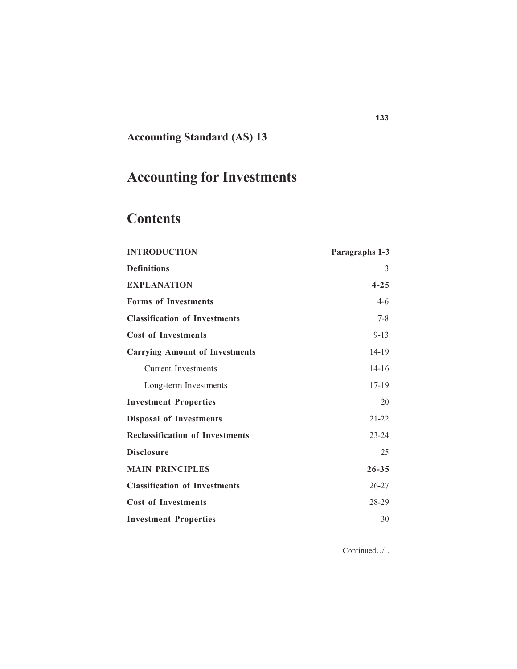## **Accounting Standard (AS) 13**

# **Accounting for Investments**

## **Contents**

| <b>INTRODUCTION</b>                    | Paragraphs 1-3 |
|----------------------------------------|----------------|
| <b>Definitions</b>                     | 3              |
| <b>EXPLANATION</b>                     | $4 - 25$       |
| <b>Forms of Investments</b>            | $4-6$          |
| <b>Classification of Investments</b>   | $7 - 8$        |
| <b>Cost of Investments</b>             | $9 - 13$       |
| <b>Carrying Amount of Investments</b>  | 14-19          |
| <b>Current Investments</b>             | $14-16$        |
| Long-term Investments                  | 17-19          |
| <b>Investment Properties</b>           | 20             |
| <b>Disposal of Investments</b>         | $21 - 22$      |
| <b>Reclassification of Investments</b> | $23 - 24$      |
| <b>Disclosure</b>                      | 25             |
| <b>MAIN PRINCIPLES</b>                 | $26 - 35$      |
| <b>Classification of Investments</b>   | $26 - 27$      |
| <b>Cost of Investments</b>             | 28-29          |
| <b>Investment Properties</b>           | 30             |

Continued../. .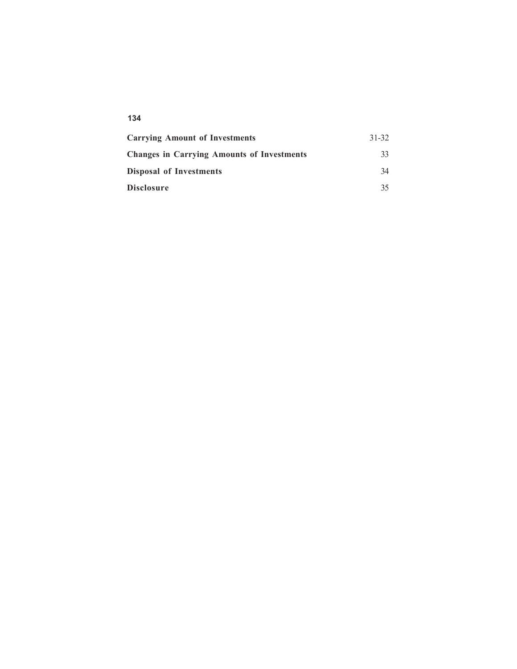#### **134**

| <b>Carrying Amount of Investments</b>             | 31-32 |
|---------------------------------------------------|-------|
| <b>Changes in Carrying Amounts of Investments</b> | 33    |
| <b>Disposal of Investments</b>                    | 34    |
| <b>Disclosure</b>                                 | 35    |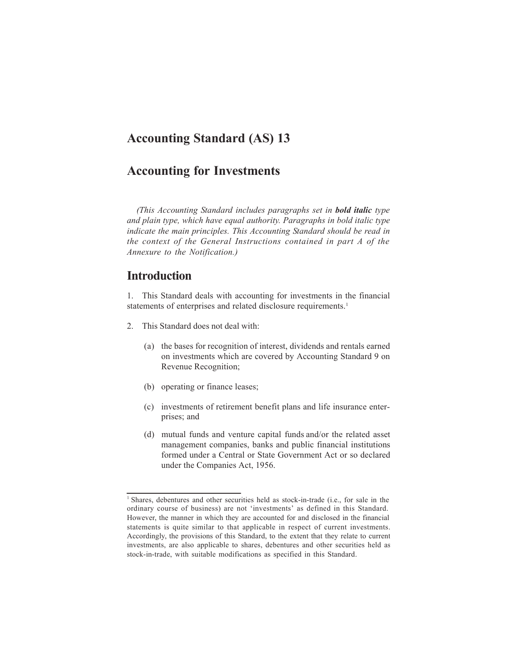## **Accounting Standard (AS) 13**

## **Accounting for Investments**

*(This Accounting Standard includes paragraphs set in bold italic type and plain type, which have equal authority. Paragraphs in bold italic type indicate the main principles. This Accounting Standard should be read in the context of the General Instructions contained in part A of the Annexure to the Notification.)*

### **Introduction**

1. This Standard deals with accounting for investments in the financial statements of enterprises and related disclosure requirements.<sup>1</sup>

- 2. This Standard does not deal with:
	- (a) the bases for recognition of interest, dividends and rentals earned on investments which are covered by Accounting Standard 9 on Revenue Recognition;
	- (b) operating or finance leases;
	- (c) investments of retirement benefit plans and life insurance enterprises; and
	- (d) mutual funds and venture capital funds and/or the related asset management companies, banks and public financial institutions formed under a Central or State Government Act or so declared under the Companies Act, 1956.

<sup>&</sup>lt;sup>1</sup> Shares, debentures and other securities held as stock-in-trade (i.e., for sale in the ordinary course of business) are not 'investments' as defined in this Standard. However, the manner in which they are accounted for and disclosed in the financial statements is quite similar to that applicable in respect of current investments. Accordingly, the provisions of this Standard, to the extent that they relate to current investments, are also applicable to shares, debentures and other securities held as stock-in-trade, with suitable modifications as specified in this Standard.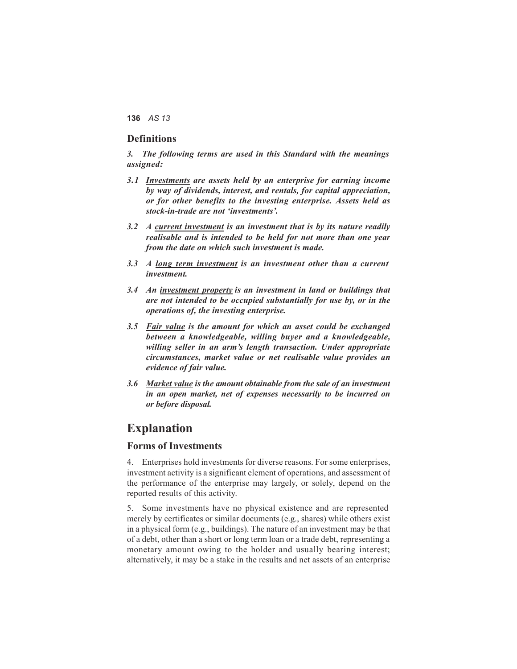#### **Definitions**

*3. The following terms are used in this Standard with the meanings assigned:*

- *3.1 Investments are assets held by an enterprise for earning income by way of dividends, interest, and rentals, for capital appreciation, or for other benefits to the investing enterprise. Assets held as stock-in-trade are not 'investments'.*
- *3.2 A current investment is an investment that is by its nature readily realisable and is intended to be held for not more than one year from the date on which such investment is made.*
- *3.3 A long term investment is an investment other than a current investment.*
- *3.4 An investment property is an investment in land or buildings that are not intended to be occupied substantially for use by, or in the operations of, the investing enterprise.*
- *3.5 Fair value is the amount for which an asset could be exchanged between a knowledgeable, willing buyer and a knowledgeable, willing seller in an arm's length transaction. Under appropriate circumstances, market value or net realisable value provides an evidence of fair value.*
- *3.6 Market value is the amount obtainable from the sale of an investment in an open market, net of expenses necessarily to be incurred on or before disposal.*

### **Explanation**

#### **Forms of Investments**

4. Enterprises hold investments for diverse reasons. For some enterprises, investment activity is a significant element of operations, and assessment of the performance of the enterprise may largely, or solely, depend on the reported results of this activity.

5. Some investments have no physical existence and are represented merely by certificates or similar documents (e.g., shares) while others exist in a physical form (e.g., buildings). The nature of an investment may be that of a debt, other than a short or long term loan or a trade debt, representing a monetary amount owing to the holder and usually bearing interest; alternatively, it may be a stake in the results and net assets of an enterprise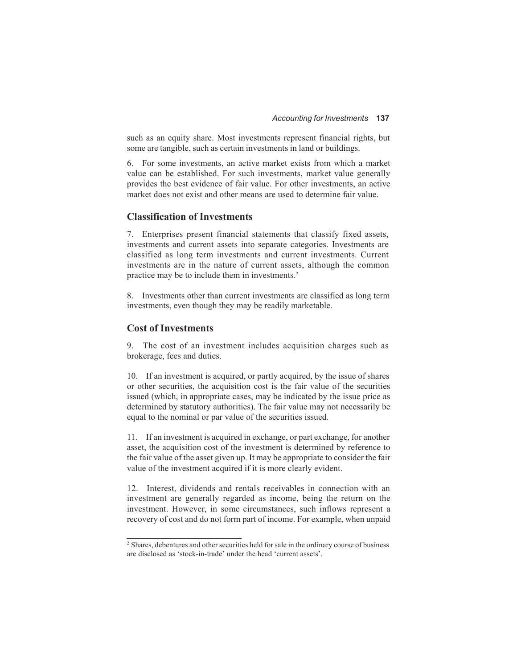such as an equity share. Most investments represent financial rights, but some are tangible, such as certain investments in land or buildings.

6. For some investments, an active market exists from which a market value can be established. For such investments, market value generally provides the best evidence of fair value. For other investments, an active market does not exist and other means are used to determine fair value.

#### **Classification of Investments**

7. Enterprises present financial statements that classify fixed assets, investments and current assets into separate categories. Investments are classified as long term investments and current investments. Current investments are in the nature of current assets, although the common practice may be to include them in investments.2

8. Investments other than current investments are classified as long term investments, even though they may be readily marketable.

#### **Cost of Investments**

9. The cost of an investment includes acquisition charges such as brokerage, fees and duties.

10. If an investment is acquired, or partly acquired, by the issue of shares or other securities, the acquisition cost is the fair value of the securities issued (which, in appropriate cases, may be indicated by the issue price as determined by statutory authorities). The fair value may not necessarily be equal to the nominal or par value of the securities issued.

11. If an investment is acquired in exchange, or part exchange, for another asset, the acquisition cost of the investment is determined by reference to the fair value of the asset given up. It may be appropriate to consider the fair value of the investment acquired if it is more clearly evident.

12. Interest, dividends and rentals receivables in connection with an investment are generally regarded as income, being the return on the investment. However, in some circumstances, such inflows represent a recovery of cost and do not form part of income. For example, when unpaid

<sup>&</sup>lt;sup>2</sup> Shares, debentures and other securities held for sale in the ordinary course of business are disclosed as 'stock-in-trade' under the head 'current assets'.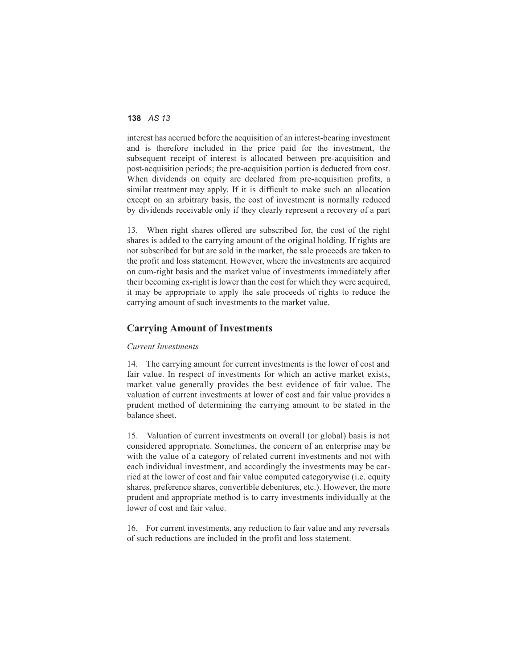interest has accrued before the acquisition of an interest-bearing investment and is therefore included in the price paid for the investment, the subsequent receipt of interest is allocated between pre-acquisition and post-acquisition periods; the pre-acquisition portion is deducted from cost. When dividends on equity are declared from pre-acquisition profits, a similar treatment may apply. If it is difficult to make such an allocation except on an arbitrary basis, the cost of investment is normally reduced by dividends receivable only if they clearly represent a recovery of a part

13. When right shares offered are subscribed for, the cost of the right shares is added to the carrying amount of the original holding. If rights are not subscribed for but are sold in the market, the sale proceeds are taken to the profit and loss statement. However, where the investments are acquired on cum-right basis and the market value of investments immediately after their becoming ex-right is lower than the cost for which they were acquired, it may be appropriate to apply the sale proceeds of rights to reduce the carrying amount of such investments to the market value.

#### **Carrying Amount of Investments**

#### *Current Investments*

14. The carrying amount for current investments is the lower of cost and fair value. In respect of investments for which an active market exists, market value generally provides the best evidence of fair value. The valuation of current investments at lower of cost and fair value provides a prudent method of determining the carrying amount to be stated in the balance sheet.

15. Valuation of current investments on overall (or global) basis is not considered appropriate. Sometimes, the concern of an enterprise may be with the value of a category of related current investments and not with each individual investment, and accordingly the investments may be carried at the lower of cost and fair value computed categorywise (i.e. equity shares, preference shares, convertible debentures, etc.). However, the more prudent and appropriate method is to carry investments individually at the lower of cost and fair value.

16. For current investments, any reduction to fair value and any reversals of such reductions are included in the profit and loss statement.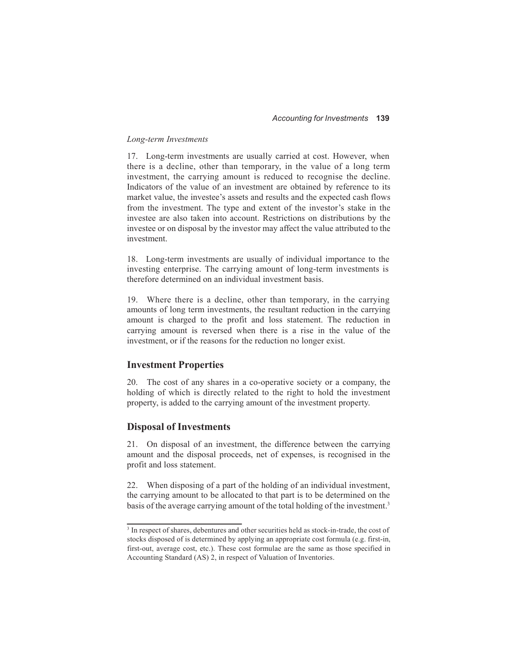#### *Long-term Investments*

17. Long-term investments are usually carried at cost. However, when there is a decline, other than temporary, in the value of a long term investment, the carrying amount is reduced to recognise the decline. Indicators of the value of an investment are obtained by reference to its market value, the investee's assets and results and the expected cash flows from the investment. The type and extent of the investor's stake in the investee are also taken into account. Restrictions on distributions by the investee or on disposal by the investor may affect the value attributed to the investment.

18. Long-term investments are usually of individual importance to the investing enterprise. The carrying amount of long-term investments is therefore determined on an individual investment basis.

19. Where there is a decline, other than temporary, in the carrying amounts of long term investments, the resultant reduction in the carrying amount is charged to the profit and loss statement. The reduction in carrying amount is reversed when there is a rise in the value of the investment, or if the reasons for the reduction no longer exist.

#### **Investment Properties**

20. The cost of any shares in a co-operative society or a company, the holding of which is directly related to the right to hold the investment property, is added to the carrying amount of the investment property.

#### **Disposal of Investments**

21. On disposal of an investment, the difference between the carrying amount and the disposal proceeds, net of expenses, is recognised in the profit and loss statement.

22. When disposing of a part of the holding of an individual investment, the carrying amount to be allocated to that part is to be determined on the basis of the average carrying amount of the total holding of the investment.<sup>3</sup>

<sup>&</sup>lt;sup>3</sup> In respect of shares, debentures and other securities held as stock-in-trade, the cost of stocks disposed of is determined by applying an appropriate cost formula (e.g. first-in, first-out, average cost, etc.). These cost formulae are the same as those specified in Accounting Standard (AS) 2, in respect of Valuation of Inventories.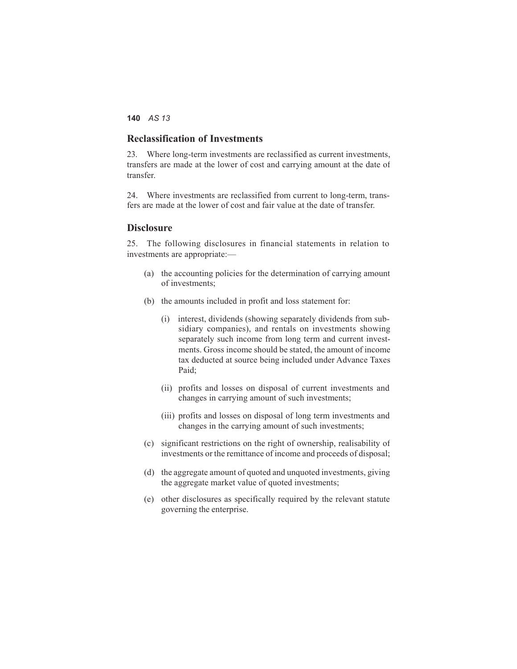#### **Reclassification of Investments**

23. Where long-term investments are reclassified as current investments, transfers are made at the lower of cost and carrying amount at the date of transfer.

24. Where investments are reclassified from current to long-term, transfers are made at the lower of cost and fair value at the date of transfer.

#### **Disclosure**

25. The following disclosures in financial statements in relation to investments are appropriate:—

- (a) the accounting policies for the determination of carrying amount of investments;
- (b) the amounts included in profit and loss statement for:
	- (i) interest, dividends (showing separately dividends from subsidiary companies), and rentals on investments showing separately such income from long term and current investments. Gross income should be stated, the amount of income tax deducted at source being included under Advance Taxes Paid;
	- (ii) profits and losses on disposal of current investments and changes in carrying amount of such investments;
	- (iii) profits and losses on disposal of long term investments and changes in the carrying amount of such investments;
- (c) significant restrictions on the right of ownership, realisability of investments or the remittance of income and proceeds of disposal;
- (d) the aggregate amount of quoted and unquoted investments, giving the aggregate market value of quoted investments;
- (e) other disclosures as specifically required by the relevant statute governing the enterprise.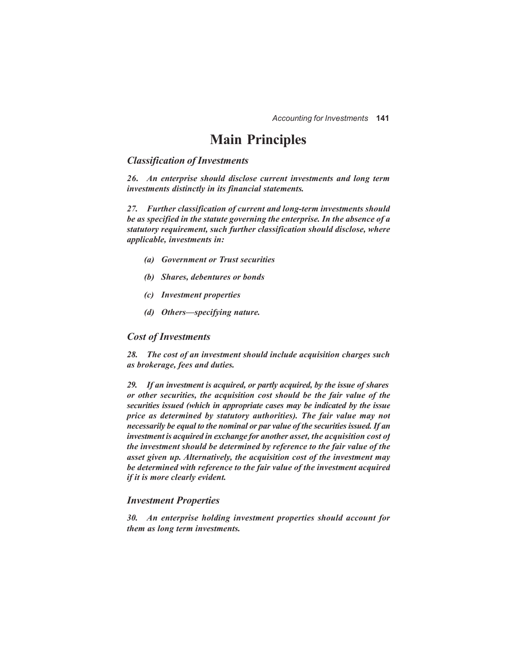## **Main Principles**

#### *Classification of Investments*

*26. An enterprise should disclose current investments and long term investments distinctly in its financial statements.*

*27. Further classification of current and long-term investments should be as specified in the statute governing the enterprise. In the absence of a statutory requirement, such further classification should disclose, where applicable, investments in:*

- *(a) Government or Trust securities*
- *(b) Shares, debentures or bonds*
- *(c) Investment properties*
- *(d) Others—specifying nature.*

#### *Cost of Investments*

*28. The cost of an investment should include acquisition charges such as brokerage, fees and duties.*

*29. If an investment is acquired, or partly acquired, by the issue of shares or other securities, the acquisition cost should be the fair value of the securities issued (which in appropriate cases may be indicated by the issue price as determined by statutory authorities). The fair value may not necessarily be equal to the nominal or par value of the securities issued. If an investment is acquired in exchange for another asset, the acquisition cost of the investment should be determined by reference to the fair value of the asset given up. Alternatively, the acquisition cost of the investment may be determined with reference to the fair value of the investment acquired if it is more clearly evident.*

#### *Investment Properties*

*30. An enterprise holding investment properties should account for them as long term investments.*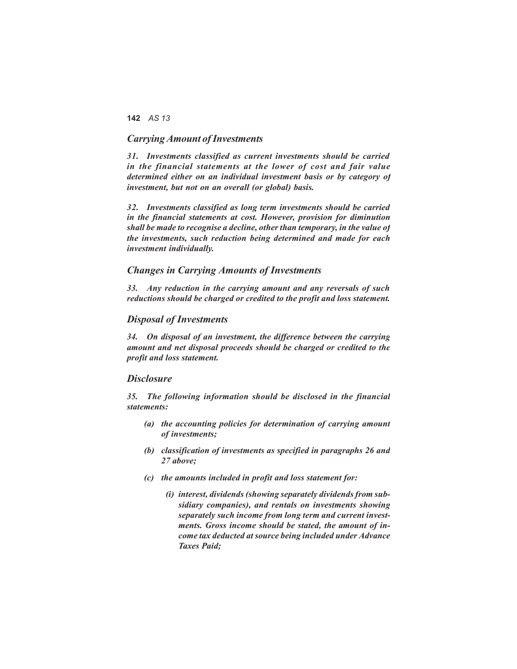#### *Carrying Amount ofInvestments*

*31. Investments classified as current investments should be carried in the financial statements at the lower of cost and fair value determined either on an individual investment basis or by category of investment, but not on an overall (or global) basis.*

*32. Investments classified as long term investments should be carried in the financial statements at cost. However, provision for diminution shall be made to recognise a decline, other than temporary, in the value of the investments, such reduction being determined and made for each investment individually.*

#### *Changes in Carrying Amounts of Investments*

*33. Any reduction in the carrying amount and any reversals of such reductions should be charged or credited to the profit and loss statement.*

#### *Disposal of Investments*

*34. On disposal of an investment, the difference between the carrying amount and net disposal proceeds should be charged or credited to the profit and loss statement.*

#### *Disclosure*

*35. The following information should be disclosed in the financial statements:*

- *(a) the accounting policies for determination of carrying amount of investments;*
- *(b) classification of investments as specified in paragraphs 26 and 27 above;*
- *(c) the amounts included in profit and loss statement for:*
	- *(i) interest, dividends (showing separately dividends from subsidiary companies), and rentals on investments showing separately such income from long term and current investments. Gross income should be stated, the amount of income tax deducted at source being included under Advance Taxes Paid;*